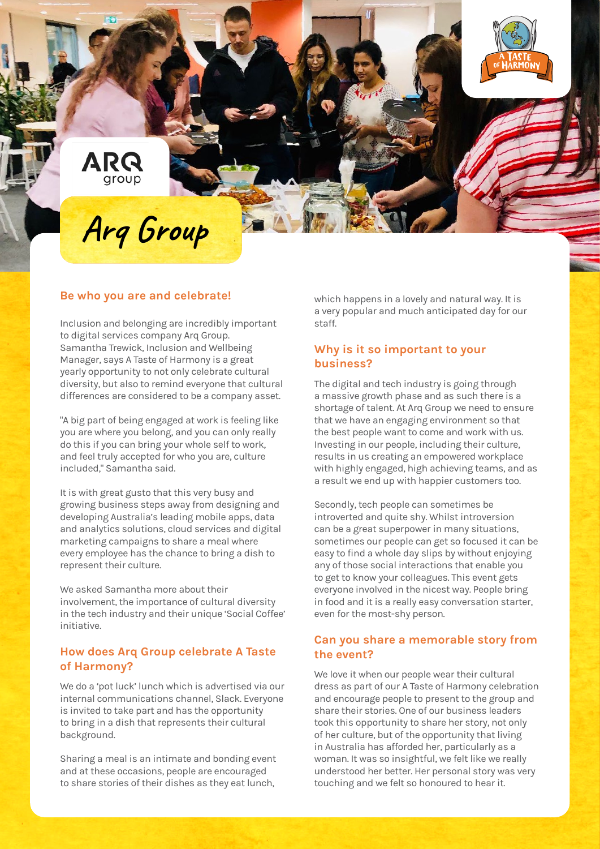

# **Arq Group**

#### **Be who you are and celebrate!**

Inclusion and belonging are incredibly important to digital services company Arq Group. Samantha Trewick, Inclusion and Wellbeing Manager, says A Taste of Harmony is a great yearly opportunity to not only celebrate cultural diversity, but also to remind everyone that cultural differences are considered to be a company asset.

"A big part of being engaged at work is feeling like you are where you belong, and you can only really do this if you can bring your whole self to work, and feel truly accepted for who you are, culture included," Samantha said.

It is with great gusto that this very busy and growing business steps away from designing and developing Australia's leading mobile apps, data and analytics solutions, cloud services and digital marketing campaigns to share a meal where every employee has the chance to bring a dish to represent their culture.

We asked Samantha more about their involvement, the importance of cultural diversity in the tech industry and their unique 'Social Coffee' initiative.

#### **How does Arq Group celebrate A Taste of Harmony?**

We do a 'pot luck' lunch which is advertised via our internal communications channel, Slack. Everyone is invited to take part and has the opportunity to bring in a dish that represents their cultural background.

Sharing a meal is an intimate and bonding event and at these occasions, people are encouraged to share stories of their dishes as they eat lunch,

which happens in a lovely and natural way. It is a very popular and much anticipated day for our staff.

## **Why is it so important to your business?**

The digital and tech industry is going through a massive growth phase and as such there is a shortage of talent. At Arq Group we need to ensure that we have an engaging environment so that the best people want to come and work with us. Investing in our people, including their culture, results in us creating an empowered workplace with highly engaged, high achieving teams, and as a result we end up with happier customers too.

Secondly, tech people can sometimes be introverted and quite shy. Whilst introversion can be a great superpower in many situations, sometimes our people can get so focused it can be easy to find a whole day slips by without enjoying any of those social interactions that enable you to get to know your colleagues. This event gets everyone involved in the nicest way. People bring in food and it is a really easy conversation starter, even for the most-shy person.

#### **Can you share a memorable story from the event?**

We love it when our people wear their cultural dress as part of our A Taste of Harmony celebration and encourage people to present to the group and share their stories. One of our business leaders took this opportunity to share her story, not only of her culture, but of the opportunity that living in Australia has afforded her, particularly as a woman. It was so insightful, we felt like we really understood her better. Her personal story was very touching and we felt so honoured to hear it.